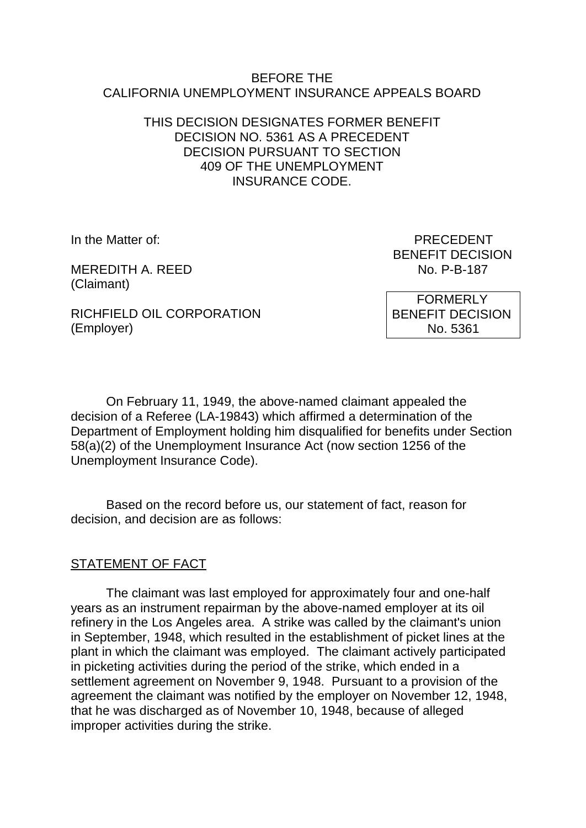### BEFORE THE CALIFORNIA UNEMPLOYMENT INSURANCE APPEALS BOARD

### THIS DECISION DESIGNATES FORMER BENEFIT DECISION NO. 5361 AS A PRECEDENT DECISION PURSUANT TO SECTION 409 OF THE UNEMPLOYMENT INSURANCE CODE.

MEREDITH A. REED (Claimant)

In the Matter of: PRECEDENT BENEFIT DECISION<br>No. P-B-187

RICHFIELD OIL CORPORATION (Employer)

 FORMERLY BENEFIT DECISION No. 5361

On February 11, 1949, the above-named claimant appealed the decision of a Referee (LA-19843) which affirmed a determination of the Department of Employment holding him disqualified for benefits under Section 58(a)(2) of the Unemployment Insurance Act (now section 1256 of the Unemployment Insurance Code).

Based on the record before us, our statement of fact, reason for decision, and decision are as follows:

# STATEMENT OF FACT

The claimant was last employed for approximately four and one-half years as an instrument repairman by the above-named employer at its oil refinery in the Los Angeles area. A strike was called by the claimant's union in September, 1948, which resulted in the establishment of picket lines at the plant in which the claimant was employed. The claimant actively participated in picketing activities during the period of the strike, which ended in a settlement agreement on November 9, 1948. Pursuant to a provision of the agreement the claimant was notified by the employer on November 12, 1948, that he was discharged as of November 10, 1948, because of alleged improper activities during the strike.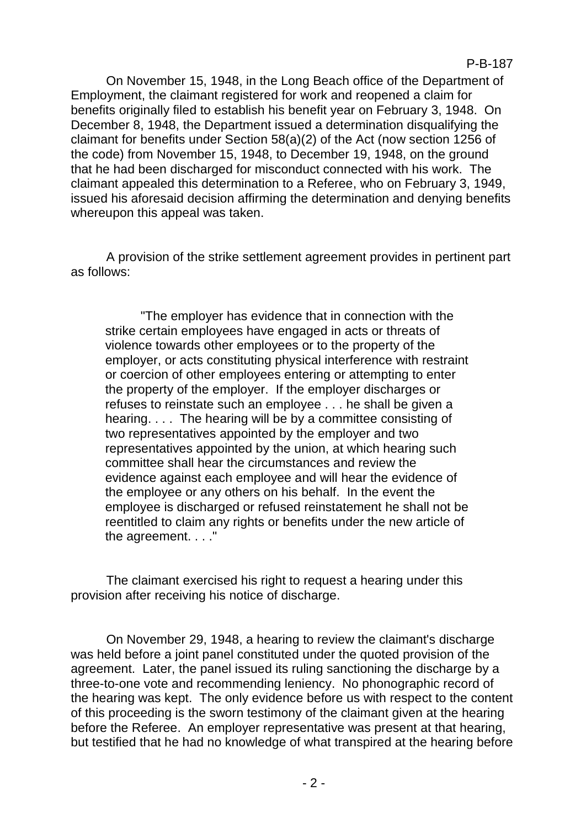On November 15, 1948, in the Long Beach office of the Department of Employment, the claimant registered for work and reopened a claim for benefits originally filed to establish his benefit year on February 3, 1948. On December 8, 1948, the Department issued a determination disqualifying the claimant for benefits under Section 58(a)(2) of the Act (now section 1256 of the code) from November 15, 1948, to December 19, 1948, on the ground that he had been discharged for misconduct connected with his work. The claimant appealed this determination to a Referee, who on February 3, 1949, issued his aforesaid decision affirming the determination and denying benefits whereupon this appeal was taken.

A provision of the strike settlement agreement provides in pertinent part as follows:

"The employer has evidence that in connection with the strike certain employees have engaged in acts or threats of violence towards other employees or to the property of the employer, or acts constituting physical interference with restraint or coercion of other employees entering or attempting to enter the property of the employer. If the employer discharges or refuses to reinstate such an employee . . . he shall be given a hearing. . . . The hearing will be by a committee consisting of two representatives appointed by the employer and two representatives appointed by the union, at which hearing such committee shall hear the circumstances and review the evidence against each employee and will hear the evidence of the employee or any others on his behalf. In the event the employee is discharged or refused reinstatement he shall not be reentitled to claim any rights or benefits under the new article of the agreement. . . ."

The claimant exercised his right to request a hearing under this provision after receiving his notice of discharge.

On November 29, 1948, a hearing to review the claimant's discharge was held before a joint panel constituted under the quoted provision of the agreement. Later, the panel issued its ruling sanctioning the discharge by a three-to-one vote and recommending leniency. No phonographic record of the hearing was kept. The only evidence before us with respect to the content of this proceeding is the sworn testimony of the claimant given at the hearing before the Referee. An employer representative was present at that hearing, but testified that he had no knowledge of what transpired at the hearing before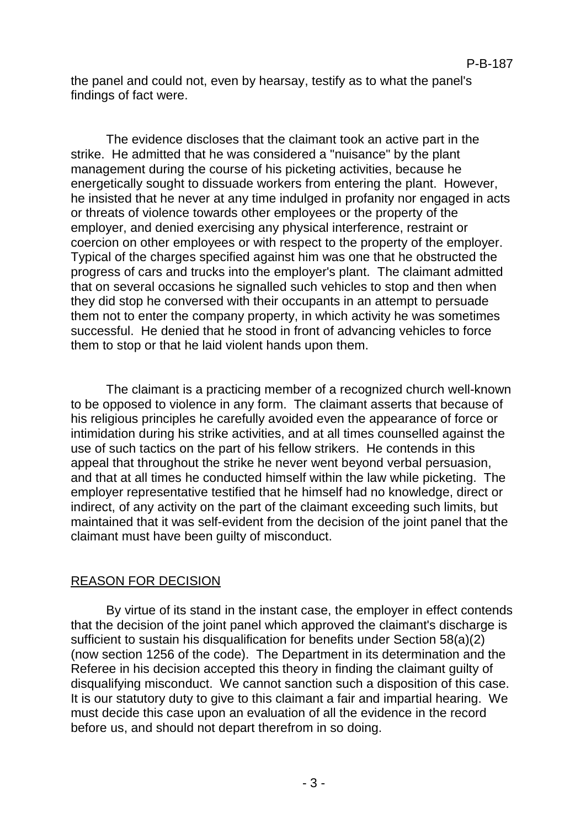the panel and could not, even by hearsay, testify as to what the panel's findings of fact were.

The evidence discloses that the claimant took an active part in the strike. He admitted that he was considered a "nuisance" by the plant management during the course of his picketing activities, because he energetically sought to dissuade workers from entering the plant. However, he insisted that he never at any time indulged in profanity nor engaged in acts or threats of violence towards other employees or the property of the employer, and denied exercising any physical interference, restraint or coercion on other employees or with respect to the property of the employer. Typical of the charges specified against him was one that he obstructed the progress of cars and trucks into the employer's plant. The claimant admitted that on several occasions he signalled such vehicles to stop and then when they did stop he conversed with their occupants in an attempt to persuade them not to enter the company property, in which activity he was sometimes successful. He denied that he stood in front of advancing vehicles to force them to stop or that he laid violent hands upon them.

The claimant is a practicing member of a recognized church well-known to be opposed to violence in any form. The claimant asserts that because of his religious principles he carefully avoided even the appearance of force or intimidation during his strike activities, and at all times counselled against the use of such tactics on the part of his fellow strikers. He contends in this appeal that throughout the strike he never went beyond verbal persuasion, and that at all times he conducted himself within the law while picketing. The employer representative testified that he himself had no knowledge, direct or indirect, of any activity on the part of the claimant exceeding such limits, but maintained that it was self-evident from the decision of the joint panel that the claimant must have been guilty of misconduct.

# REASON FOR DECISION

By virtue of its stand in the instant case, the employer in effect contends that the decision of the joint panel which approved the claimant's discharge is sufficient to sustain his disqualification for benefits under Section 58(a)(2) (now section 1256 of the code). The Department in its determination and the Referee in his decision accepted this theory in finding the claimant guilty of disqualifying misconduct. We cannot sanction such a disposition of this case. It is our statutory duty to give to this claimant a fair and impartial hearing. We must decide this case upon an evaluation of all the evidence in the record before us, and should not depart therefrom in so doing.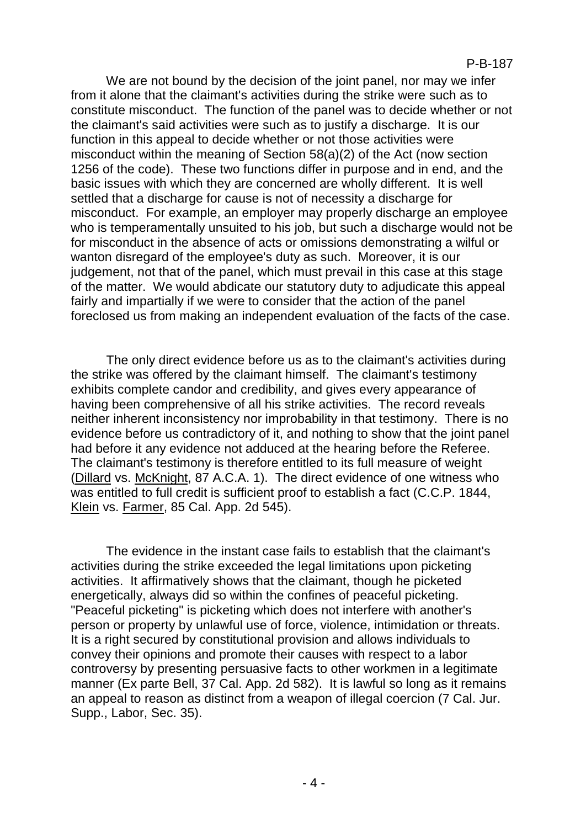We are not bound by the decision of the joint panel, nor may we infer from it alone that the claimant's activities during the strike were such as to constitute misconduct. The function of the panel was to decide whether or not the claimant's said activities were such as to justify a discharge. It is our function in this appeal to decide whether or not those activities were misconduct within the meaning of Section 58(a)(2) of the Act (now section 1256 of the code). These two functions differ in purpose and in end, and the basic issues with which they are concerned are wholly different. It is well settled that a discharge for cause is not of necessity a discharge for misconduct. For example, an employer may properly discharge an employee who is temperamentally unsuited to his job, but such a discharge would not be for misconduct in the absence of acts or omissions demonstrating a wilful or wanton disregard of the employee's duty as such. Moreover, it is our judgement, not that of the panel, which must prevail in this case at this stage of the matter. We would abdicate our statutory duty to adjudicate this appeal fairly and impartially if we were to consider that the action of the panel foreclosed us from making an independent evaluation of the facts of the case.

The only direct evidence before us as to the claimant's activities during the strike was offered by the claimant himself. The claimant's testimony exhibits complete candor and credibility, and gives every appearance of having been comprehensive of all his strike activities. The record reveals neither inherent inconsistency nor improbability in that testimony. There is no evidence before us contradictory of it, and nothing to show that the joint panel had before it any evidence not adduced at the hearing before the Referee. The claimant's testimony is therefore entitled to its full measure of weight (Dillard vs. McKnight, 87 A.C.A. 1). The direct evidence of one witness who was entitled to full credit is sufficient proof to establish a fact (C.C.P. 1844, Klein vs. Farmer, 85 Cal. App. 2d 545).

The evidence in the instant case fails to establish that the claimant's activities during the strike exceeded the legal limitations upon picketing activities. It affirmatively shows that the claimant, though he picketed energetically, always did so within the confines of peaceful picketing. "Peaceful picketing" is picketing which does not interfere with another's person or property by unlawful use of force, violence, intimidation or threats. It is a right secured by constitutional provision and allows individuals to convey their opinions and promote their causes with respect to a labor controversy by presenting persuasive facts to other workmen in a legitimate manner (Ex parte Bell, 37 Cal. App. 2d 582). It is lawful so long as it remains an appeal to reason as distinct from a weapon of illegal coercion (7 Cal. Jur. Supp., Labor, Sec. 35).